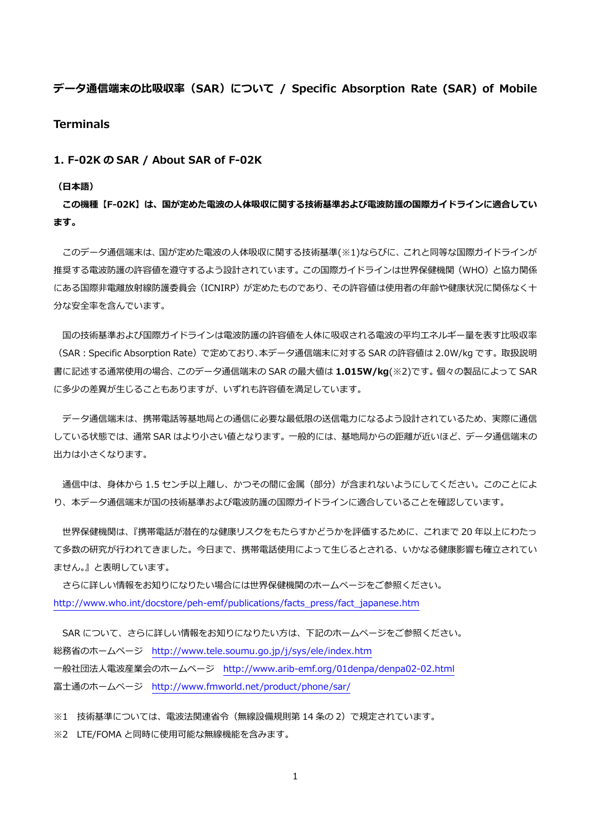**データ通信端末の⽐吸収率(SAR)について / Specific Absorption Rate (SAR) of Mobile** 

**Terminals** 

**1. F-02K の SAR / About SAR of F-02K** 

**(⽇本語)** 

**この機種【F-02K】は、国が定めた電波の⼈体吸収に関する技術基準および電波防護の国際ガイドラインに適合してい ます。** 

 このデータ通信端末は、国が定めた電波の⼈体吸収に関する技術基準(※1)ならびに、これと同等な国際ガイドラインが 推奨する電波防護の許容値を遵守するよう設計されています。この国際ガイドラインは世界保健機関(WHO)と協力関係 にある国際非電離放射線防護委員会(ICNIRP)が定めたものであり、その許容値は使用者の年齢や健康状況に関係なく十 分な安全率を含んでいます。

国の技術基準および国際ガイドラインは電波防護の許容値を人体に吸収される電波の平均エネルギー量を表す比吸収率 (SAR:Specific Absorption Rate)で定めており、本データ通信端末に対する SAR の許容値は 2.0W/kg です。取扱説明 書に記述する通常使⽤の場合、このデータ通信端末の SAR の最⼤値は **1.015W/kg**(※2)です。個々の製品によって SAR に多少の差異が生じることもありますが、いずれも許容値を満足しています。

 データ通信端末は、携帯電話等基地局との通信に必要な最低限の送信電⼒になるよう設計されているため、実際に通信 している状態では、通常 SAR はより⼩さい値となります。⼀般的には、基地局からの距離が近いほど、データ通信端末の 出力は小さくなります。

通信中は、身体から 1.5 センチ以上離し、かつその間に金属 (部分) が含まれないようにしてください。このことによ り、本データ通信端末が国の技術基準および電波防護の国際ガイドラインに適合していることを確認しています。

 世界保健機関は、『携帯電話が潜在的な健康リスクをもたらすかどうかを評価するために、これまで 20 年以上にわたっ て多数の研究が行われてきました。今日まで、携帯電話使用によって生じるとされる、いかなる健康影響も確立されてい ません。』と表明しています。

 さらに詳しい情報をお知りになりたい場合には世界保健機関のホームページをご参照ください。 http://www.who.int/docstore/peh-emf/publications/facts\_press/fact\_japanese.htm

SAR について、さらに詳しい情報をお知りになりたい方は、下記のホームページをご参照ください。 総務省のホームページ http://www.tele.soumu.go.jp/j/sys/ele/index.htm ⼀般社団法⼈電波産業会のホームページ http://www.arib-emf.org/01denpa/denpa02-02.html 富士通のホームページ http://www.fmworld.net/product/phone/sar/

※1 技術基準については、電波法関連省令(無線設備規則第 14 条の 2)で規定されています。

※2 LTE/FOMA と同時に使用可能な無線機能を含みます。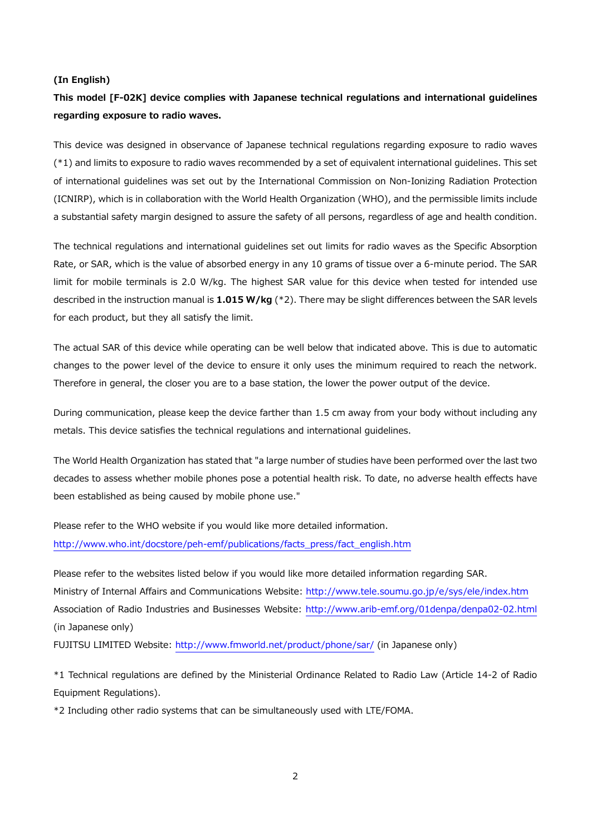#### **(In English)**

# **This model [F-02K] device complies with Japanese technical regulations and international guidelines regarding exposure to radio waves.**

This device was designed in observance of Japanese technical regulations regarding exposure to radio waves (\*1) and limits to exposure to radio waves recommended by a set of equivalent international guidelines. This set of international guidelines was set out by the International Commission on Non-Ionizing Radiation Protection (ICNIRP), which is in collaboration with the World Health Organization (WHO), and the permissible limits include a substantial safety margin designed to assure the safety of all persons, regardless of age and health condition.

The technical regulations and international guidelines set out limits for radio waves as the Specific Absorption Rate, or SAR, which is the value of absorbed energy in any 10 grams of tissue over a 6-minute period. The SAR limit for mobile terminals is 2.0 W/kg. The highest SAR value for this device when tested for intended use described in the instruction manual is **1.015 W/kg** (\*2). There may be slight differences between the SAR levels for each product, but they all satisfy the limit.

The actual SAR of this device while operating can be well below that indicated above. This is due to automatic changes to the power level of the device to ensure it only uses the minimum required to reach the network. Therefore in general, the closer you are to a base station, the lower the power output of the device.

During communication, please keep the device farther than 1.5 cm away from your body without including any metals. This device satisfies the technical regulations and international guidelines.

The World Health Organization has stated that "a large number of studies have been performed over the last two decades to assess whether mobile phones pose a potential health risk. To date, no adverse health effects have been established as being caused by mobile phone use."

Please refer to the WHO website if you would like more detailed information. http://www.who.int/docstore/peh-emf/publications/facts\_press/fact\_english.htm

Please refer to the websites listed below if you would like more detailed information regarding SAR. Ministry of Internal Affairs and Communications Website: http://www.tele.soumu.go.jp/e/sys/ele/index.htm Association of Radio Industries and Businesses Website: http://www.arib-emf.org/01denpa/denpa02-02.html (in Japanese only)

FUJITSU LIMITED Website: http://www.fmworld.net/product/phone/sar/ (in Japanese only)

\*1 Technical regulations are defined by the Ministerial Ordinance Related to Radio Law (Article 14-2 of Radio Equipment Regulations).

\*2 Including other radio systems that can be simultaneously used with LTE/FOMA.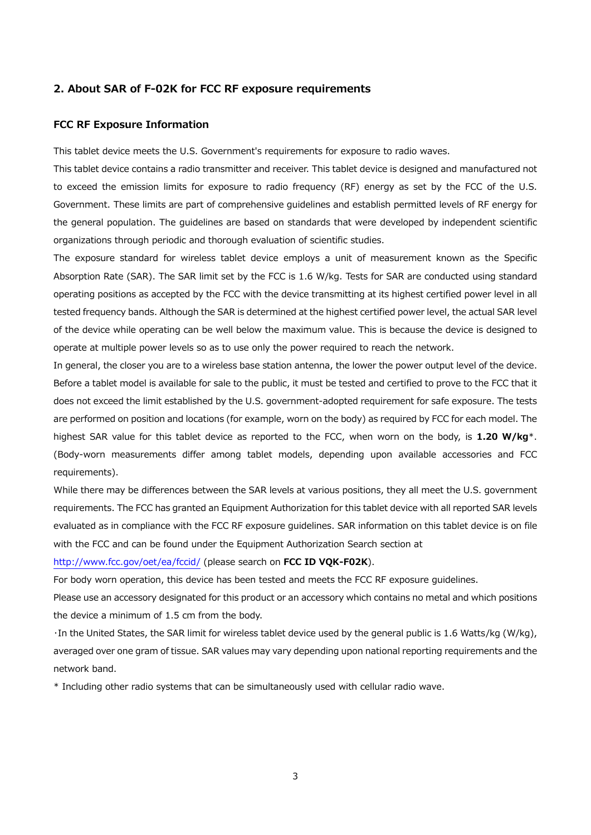#### **2. About SAR of F-02K for FCC RF exposure requirements**

### **FCC RF Exposure Information**

This tablet device meets the U.S. Government's requirements for exposure to radio waves.

This tablet device contains a radio transmitter and receiver. This tablet device is designed and manufactured not to exceed the emission limits for exposure to radio frequency (RF) energy as set by the FCC of the U.S. Government. These limits are part of comprehensive guidelines and establish permitted levels of RF energy for the general population. The guidelines are based on standards that were developed by independent scientific organizations through periodic and thorough evaluation of scientific studies.

The exposure standard for wireless tablet device employs a unit of measurement known as the Specific Absorption Rate (SAR). The SAR limit set by the FCC is 1.6 W/kg. Tests for SAR are conducted using standard operating positions as accepted by the FCC with the device transmitting at its highest certified power level in all tested frequency bands. Although the SAR is determined at the highest certified power level, the actual SAR level of the device while operating can be well below the maximum value. This is because the device is designed to operate at multiple power levels so as to use only the power required to reach the network.

In general, the closer you are to a wireless base station antenna, the lower the power output level of the device. Before a tablet model is available for sale to the public, it must be tested and certified to prove to the FCC that it does not exceed the limit established by the U.S. government-adopted requirement for safe exposure. The tests are performed on position and locations (for example, worn on the body) as required by FCC for each model. The highest SAR value for this tablet device as reported to the FCC, when worn on the body, is **1.20 W/kg**\*. (Body-worn measurements differ among tablet models, depending upon available accessories and FCC requirements).

While there may be differences between the SAR levels at various positions, they all meet the U.S. government requirements. The FCC has granted an Equipment Authorization for this tablet device with all reported SAR levels evaluated as in compliance with the FCC RF exposure guidelines. SAR information on this tablet device is on file with the FCC and can be found under the Equipment Authorization Search section at

http://www.fcc.gov/oet/ea/fccid/ (please search on **FCC ID VQK-F02K**).

For body worn operation, this device has been tested and meets the FCC RF exposure guidelines.

Please use an accessory designated for this product or an accessory which contains no metal and which positions the device a minimum of 1.5 cm from the body.

・In the United States, the SAR limit for wireless tablet device used by the general public is 1.6 Watts/kg (W/kg), averaged over one gram of tissue. SAR values may vary depending upon national reporting requirements and the network band.

\* Including other radio systems that can be simultaneously used with cellular radio wave.